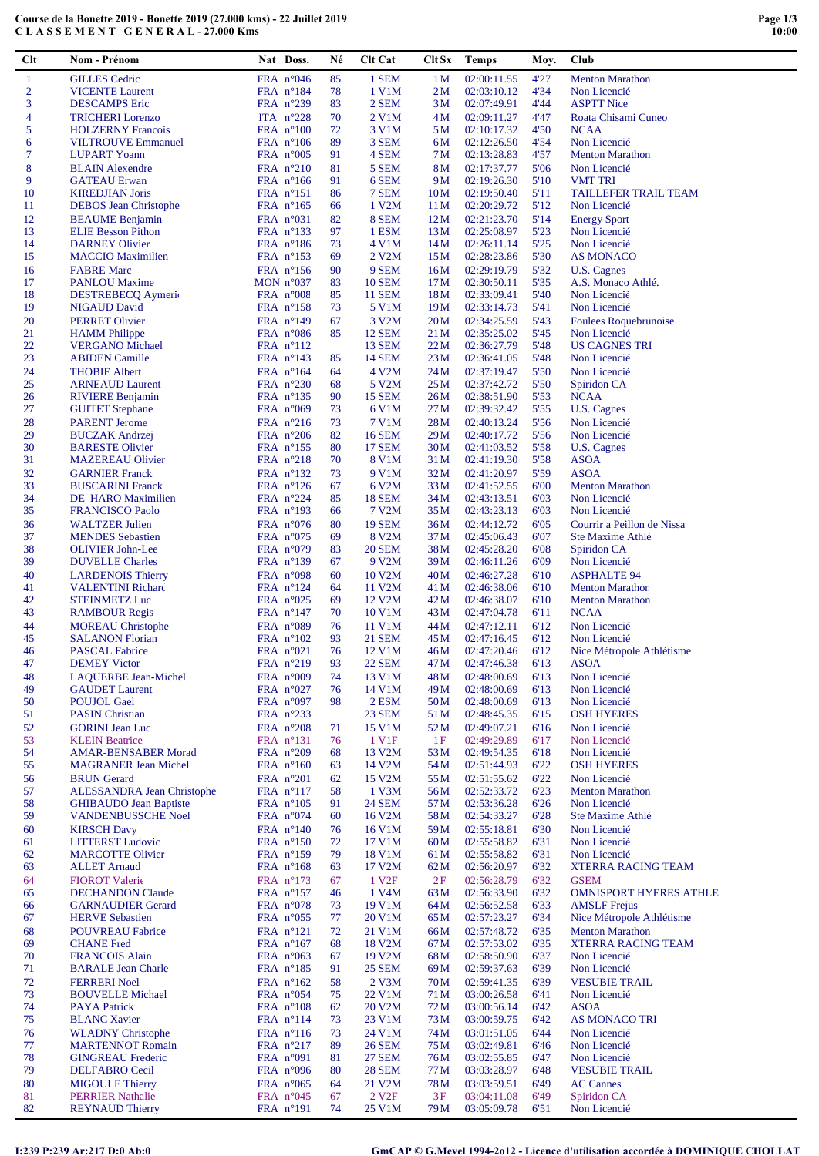| Clt              | Nom - Prénom                      | Nat Doss.           | Né | Clt Cat             | Clt Sx          | <b>Temps</b> | Moy. | Club                          |
|------------------|-----------------------------------|---------------------|----|---------------------|-----------------|--------------|------|-------------------------------|
| $\mathbf{1}$     | <b>GILLES</b> Cedric              | FRA $n^{\circ}046$  | 85 | 1 SEM               | 1 <sub>M</sub>  | 02:00:11.55  | 4'27 | <b>Menton Marathon</b>        |
| $\boldsymbol{2}$ | <b>VICENTE Laurent</b>            | FRA $n^{\circ}184$  | 78 | 1 V1M               | 2M              | 02:03:10.12  | 4'34 | Non Licencié                  |
| 3                | <b>DESCAMPS</b> Eric              | FRA $n^{\circ}239$  | 83 | 2 SEM               | 3M              |              | 4'44 | <b>ASPTT Nice</b>             |
|                  |                                   |                     |    |                     |                 | 02:07:49.91  |      |                               |
| 4                | <b>TRICHERI</b> Lorenzo           | ITA $n^{\circ}228$  | 70 | 2 V1M               | 4M              | 02:09:11.27  | 4'47 | Roata Chisami Cuneo           |
| 5                | <b>HOLZERNY Francois</b>          | FRA $n^{\circ}100$  | 72 | 3 V1M               | 5M              | 02:10:17.32  | 4'50 | <b>NCAA</b>                   |
| 6                | <b>VILTROUVE Emmanuel</b>         | FRA $n^{\circ}106$  | 89 | 3 SEM               | 6M              | 02:12:26.50  | 4'54 | Non Licencié                  |
| $\tau$           | <b>LUPART</b> Yoann               | FRA $n^{\circ}005$  | 91 | 4 SEM               | 7 M             | 02:13:28.83  | 4'57 | <b>Menton Marathon</b>        |
| $\bf 8$          | <b>BLAIN</b> Alexendre            | FRA $n^{\circ}210$  | 81 | 5 SEM               | 8M              | 02:17:37.77  | 5'06 | Non Licencié                  |
| 9                | <b>GATEAU</b> Erwan               | FRA $n^{\circ}166$  | 91 | 6 SEM               | 9M              | 02:19:26.30  | 5'10 | <b>VMT TRI</b>                |
| 10               | <b>KIREDJIAN Joris</b>            | $FRA$ n°151         | 86 | 7 SEM               | 10 <sub>M</sub> | 02:19:50.40  | 5'11 | TAILLEFER TRAIL TEAM          |
| 11               | <b>DEBOS</b> Jean Christophe      | FRA $n^{\circ}165$  | 66 | 1 V2M               | 11 <sub>M</sub> | 02:20:29.72  | 5'12 | Non Licencié                  |
| 12               | <b>BEAUME</b> Benjamin            | FRA $n^{\circ}031$  | 82 | 8 SEM               | 12M             | 02:21:23.70  | 5'14 | <b>Energy Sport</b>           |
| 13               | <b>ELIE Besson Pithon</b>         | FRA $n^{\circ}133$  | 97 | 1 ESM               | 13M             | 02:25:08.97  | 5'23 | Non Licencié                  |
| 14               | <b>DARNEY Olivier</b>             | FRA $n^{\circ}186$  | 73 | 4 V1M               | 14M             | 02:26:11.14  | 5'25 | Non Licencié                  |
| 15               | <b>MACCIO</b> Maximilien          | FRA $n^{\circ}153$  | 69 | 2 V <sub>2</sub> M  | 15M             | 02:28:23.86  | 5'30 | <b>AS MONACO</b>              |
| 16               | <b>FABRE Marc</b>                 | FRA nº156           | 90 | 9 SEM               | 16M             | 02:29:19.79  | 5'32 | U.S. Cagnes                   |
| 17               | <b>PANLOU Maxime</b>              | MON $n^{\circ}037$  | 83 | <b>10 SEM</b>       | 17 <sub>M</sub> | 02:30:50.11  | 5'35 | A.S. Monaco Athlé.            |
| 18               | <b>DESTREBECQ</b> Aymeric         | FRA $n^{\circ}008$  | 85 | <b>11 SEM</b>       | 18M             | 02:33:09.41  | 5'40 | Non Licencié                  |
| 19               | <b>NIGAUD David</b>               | FRA $n^{\circ}158$  | 73 | 5 V1M               | 19M             |              | 5'41 | Non Licencié                  |
|                  |                                   |                     |    |                     |                 | 02:33:14.73  |      |                               |
| 20               | <b>PERRET Olivier</b>             | FRA $n^{\circ}149$  | 67 | 3 V <sub>2</sub> M  | 20M             | 02:34:25.59  | 5'43 | Foulees Roquebrunoise         |
| 21               | <b>HAMM</b> Philippe              | FRA $n^{\circ}086$  | 85 | <b>12 SEM</b>       | 21 M            | 02:35:25.02  | 5'45 | Non Licencié                  |
| 22               | <b>VERGANO</b> Michael            | $FRA$ n°112         |    | <b>13 SEM</b>       | 22M             | 02:36:27.79  | 5'48 | <b>US CAGNES TRI</b>          |
| 23               | <b>ABIDEN Camille</b>             | FRA nº143           | 85 | <b>14 SEM</b>       | 23 M            | 02:36:41.05  | 5'48 | Non Licencié                  |
| 24               | <b>THOBIE Albert</b>              | FRA $n^{\circ}164$  | 64 | 4 V2M               | 24 M            | 02:37:19.47  | 5'50 | Non Licencié                  |
| 25               | <b>ARNEAUD Laurent</b>            | FRA $n^{\circ}230$  | 68 | 5 V2M               | 25M             | 02:37:42.72  | 5'50 | Spiridon CA                   |
| 26               | <b>RIVIERE Benjamin</b>           | FRA $n^{\circ}$ 135 | 90 | <b>15 SEM</b>       | 26M             | 02:38:51.90  | 5'53 | <b>NCAA</b>                   |
| 27               | <b>GUITET Stephane</b>            | FRA $n^{\circ}069$  | 73 | 6 V1M               | 27M             | 02:39:32.42  | 5'55 | U.S. Cagnes                   |
| 28               | <b>PARENT Jerome</b>              | FRA n°216           | 73 | <b>7 V1M</b>        | 28M             | 02:40:13.24  | 5'56 | Non Licencié                  |
| 29               | <b>BUCZAK Andrzej</b>             | FRA $n^{\circ}206$  | 82 | <b>16 SEM</b>       | 29 M            | 02:40:17.72  | 5'56 | Non Licencié                  |
| 30               | <b>BARESTE Olivier</b>            | FRA $n^{\circ}155$  | 80 | <b>17 SEM</b>       | 30 <sub>M</sub> | 02:41:03.52  | 5'58 | U.S. Cagnes                   |
| 31               | <b>MAZEREAU Olivier</b>           | FRA $n^{\circ}218$  | 70 | 8 V1M               | 31 M            | 02:41:19.30  | 5'58 | ASOA                          |
| 32               | <b>GARNIER Franck</b>             | FRA $n^{\circ}132$  | 73 | 9 V1M               | 32M             | 02:41:20.97  | 5'59 | <b>ASOA</b>                   |
| 33               | <b>BUSCARINI Franck</b>           | FRA $n^{\circ}126$  | 67 | 6 V2M               | 33 M            | 02:41:52.55  | 6'00 | <b>Menton Marathon</b>        |
| 34               |                                   | FRA $n^{\circ}224$  | 85 | <b>18 SEM</b>       | 34 M            |              | 6'03 | Non Licencié                  |
| 35               | DE HARO Maximilien                |                     |    |                     |                 | 02:43:13.51  |      | Non Licencié                  |
|                  | <b>FRANCISCO Paolo</b>            | FRA $n^{\circ}193$  | 66 | 7 V2M               | 35 M            | 02:43:23.13  | 6'03 |                               |
| 36               | <b>WALTZER Julien</b>             | FRA $n^{\circ}076$  | 80 | <b>19 SEM</b>       | 36M             | 02:44:12.72  | 6'05 | Courrir a Peillon de Nissa    |
| 37               | <b>MENDES</b> Sebastien           | FRA $n^{\circ}075$  | 69 | 8 V <sub>2</sub> M  | 37 M            | 02:45:06.43  | 6'07 | Ste Maxime Athlé              |
| 38               | <b>OLIVIER John-Lee</b>           | FRA $n^{\circ}079$  | 83 | <b>20 SEM</b>       | 38M             | 02:45:28.20  | 6'08 | Spiridon CA                   |
| 39               | <b>DUVELLE</b> Charles            | FRA $n^{\circ}139$  | 67 | 9 V2M               | 39 M            | 02:46:11.26  | 6'09 | Non Licencié                  |
| 40               | <b>LARDENOIS Thierry</b>          | FRA $n^{\circ}098$  | 60 | 10 V2M              | 40 <sub>M</sub> | 02:46:27.28  | 6'10 | <b>ASPHALTE 94</b>            |
| 41               | <b>VALENTINI Richard</b>          | FRA $n^{\circ}124$  | 64 | 11 V2M              | 41 M            | 02:46:38.06  | 6'10 | <b>Menton Marathon</b>        |
| 42               | <b>STEINMETZ Luc</b>              | FRA $n^{\circ}025$  | 69 | 12 V <sub>2</sub> M | 42M             | 02:46:38.07  | 6'10 | <b>Menton Marathon</b>        |
| 43               | <b>RAMBOUR Regis</b>              | FRA n°147           | 70 | 10 V1M              | 43 M            | 02:47:04.78  | 6'11 | <b>NCAA</b>                   |
| 44               | <b>MOREAU</b> Christophe          | FRA n°089           | 76 | 11 V1M              | 44 M            | 02:47:12.11  | 6'12 | Non Licencié                  |
| 45               | <b>SALANON Florian</b>            | FRA $n^{\circ}102$  | 93 | <b>21 SEM</b>       | 45 M            | 02:47:16.45  | 6'12 | Non Licencié                  |
| 46               | <b>PASCAL Fabrice</b>             | FRA $n^{\circ}021$  | 76 | 12 V1M              | 46 M            | 02:47:20.46  | 6'12 | Nice Métropole Athlétisme     |
| 47               | <b>DEMEY Victor</b>               | FRA $n^{\circ}219$  | 93 | <b>22 SEM</b>       | 47 M            | 02:47:46.38  | 6'13 | <b>ASOA</b>                   |
| 48               | <b>LAQUERBE Jean-Michel</b>       | FRA $n^{\circ}009$  | 74 | 13 V1M              | 48 M            | 02:48:00.69  | 6'13 | Non Licencié                  |
| 49               | <b>GAUDET</b> Laurent             | FRA n°027           | 76 | 14 V1M              | 49 <sub>M</sub> | 02:48:00.69  | 6'13 | Non Licencié                  |
| 50               | <b>POUJOL Gael</b>                | FRA $n°097$         | 98 | 2 ESM               | 50 <sub>M</sub> | 02:48:00.69  | 6'13 | Non Licencié                  |
| 51               | <b>PASIN Christian</b>            | FRA $n^{\circ}233$  |    | 23 SEM              | 51 M            | 02:48:45.35  | 6'15 | <b>OSH HYERES</b>             |
|                  | <b>GORINI</b> Jean Luc            |                     |    |                     |                 | 02:49:07.21  |      | Non Licencié                  |
| 52               |                                   | FRA n°208           | 71 | 15 V1M              | 52M             |              | 6'16 |                               |
| 53               | <b>KLEIN Beatrice</b>             | FRA $n^{\circ}131$  | 76 | 1 V1F               | 1F              | 02:49:29.89  | 6'17 | Non Licencié                  |
| 54               | <b>AMAR-BENSABER Morad</b>        | FRA n°209           | 68 | 13 V <sub>2</sub> M | 53 M            | 02:49:54.35  | 6'18 | Non Licencié                  |
| 55               | <b>MAGRANER Jean Michel</b>       | FRA $n^{\circ}160$  | 63 | 14 V2M              | 54 M            | 02:51:44.93  | 6'22 | <b>OSH HYERES</b>             |
| 56               | <b>BRUN</b> Gerard                | FRA $n^{\circ}201$  | 62 | 15 V2M              | 55 M            | 02:51:55.62  | 6'22 | Non Licencié                  |
| 57               | <b>ALESSANDRA Jean Christophe</b> | FRA $n^{\circ}117$  | 58 | $1$ V3M             | 56M             | 02:52:33.72  | 6'23 | <b>Menton Marathon</b>        |
| 58               | <b>GHIBAUDO Jean Baptiste</b>     | FRA $n^{\circ}105$  | 91 | <b>24 SEM</b>       | 57 M            | 02:53:36.28  | 6'26 | Non Licencié                  |
| 59               | <b>VANDENBUSSCHE Noel</b>         | FRA $n^{\circ}074$  | 60 | 16 V2M              | 58 M            | 02:54:33.27  | 6'28 | Ste Maxime Athlé              |
| 60               | <b>KIRSCH Davy</b>                | FRA n°140           | 76 | 16 V1M              | 59 <sub>M</sub> | 02:55:18.81  | 6'30 | Non Licencié                  |
| 61               | <b>LITTERST Ludovic</b>           | FRA $n^{\circ}150$  | 72 | 17 V1M              | 60M             | 02:55:58.82  | 6'31 | Non Licencié                  |
| 62               | <b>MARCOTTE Olivier</b>           | FRA $n^{\circ}159$  | 79 | 18 V1M              | 61 M            | 02:55:58.82  | 6'31 | Non Licencié                  |
| 63               | <b>ALLET Arnaud</b>               | FRA $n^{\circ}168$  | 63 | 17 V2M              | 62M             | 02:56:20.97  | 6'32 | XTERRA RACING TEAM            |
| 64               | <b>FIOROT Valerie</b>             | FRA nº173           | 67 | 1 V <sub>2F</sub>   | 2F              | 02:56:28.79  | 6'32 | <b>GSEM</b>                   |
| 65               | <b>DECHANDON Claude</b>           | FRA $n^{\circ}157$  | 46 | 1 V4M               | 63 M            | 02:56:33.90  | 6'32 | <b>OMNISPORT HYERES ATHLE</b> |
| 66               | <b>GARNAUDIER Gerard</b>          | FRA $n^{\circ}078$  | 73 | 19 V1M              | 64 M            | 02:56:52.58  | 6'33 | <b>AMSLF</b> Frejus           |
| 67               | <b>HERVE Sebastien</b>            | FRA $n^{\circ}055$  | 77 | 20 V1M              | 65 M            | 02:57:23.27  | 6'34 | Nice Métropole Athlétisme     |
| 68               | <b>POUVREAU Fabrice</b>           | FRA $n^{\circ}121$  | 72 | 21 V1M              | 66M             | 02:57:48.72  | 6'35 | <b>Menton Marathon</b>        |
| 69               | <b>CHANE</b> Fred                 | FRA $n^{\circ}167$  | 68 | 18 V2M              | 67 M            | 02:57:53.02  | 6'35 | <b>XTERRA RACING TEAM</b>     |
| 70               | <b>FRANCOIS Alain</b>             | FRA $n^{\circ}063$  | 67 | 19 V2M              | 68 M            | 02:58:50.90  | 6'37 | Non Licencié                  |
| 71               | <b>BARALE Jean Charle</b>         | FRA $n^{\circ}185$  | 91 | <b>25 SEM</b>       |                 | 02:59:37.63  | 6'39 | Non Licencié                  |
|                  |                                   |                     |    |                     | 69 M            |              |      |                               |
| 72               | <b>FERRERI</b> Noel               | FRA $n^{\circ}162$  | 58 | 2 V3M               | 70 <sub>M</sub> | 02:59:41.35  | 6'39 | <b>VESUBIE TRAIL</b>          |
| 73               | <b>BOUVELLE Michael</b>           | FRA n°054           | 75 | 22 V1M              | 71 M            | 03:00:26.58  | 6'41 | Non Licencié                  |
| 74               | <b>PAYA Patrick</b>               | FRA $n^{\circ}108$  | 62 | 20 V2M              | 72M             | 03:00:56.14  | 6'42 | <b>ASOA</b>                   |
| 75               | <b>BLANC Xavier</b>               | FRA $n^{\circ}114$  | 73 | 23 V1M              | 73 M            | 03:00:59.75  | 6'42 | <b>AS MONACO TRI</b>          |
| 76               | <b>WLADNY Christophe</b>          | FRA $n^{\circ}116$  | 73 | 24 V1M              | 74 M            | 03:01:51.05  | 6'44 | Non Licencié                  |
| 77               | <b>MARTENNOT Romain</b>           | FRA $n^{\circ}217$  | 89 | <b>26 SEM</b>       | 75 M            | 03:02:49.81  | 6'46 | Non Licencié                  |
| 78               | <b>GINGREAU Frederic</b>          | FRA $n^{\circ}091$  | 81 | <b>27 SEM</b>       | 76 M            | 03:02:55.85  | 6'47 | Non Licencié                  |
| 79               | DELFABRO Cecil                    | FRA n°096           | 80 | <b>28 SEM</b>       | 77 M            | 03:03:28.97  | 6'48 | <b>VESUBIE TRAIL</b>          |
| 80               | <b>MIGOULE Thierry</b>            | FRA $n^{\circ}065$  | 64 | 21 V2M              | 78 M            | 03:03:59.51  | 6'49 | <b>AC Cannes</b>              |
| 81               | <b>PERRIER Nathalie</b>           | FRA $n^{\circ}045$  | 67 | 2 V <sub>2F</sub>   | 3F              | 03:04:11.08  | 6'49 | Spiridon CA                   |
| 82               | <b>REYNAUD Thierry</b>            | FRA n°191           | 74 | 25 V1M              | 79 M            | 03:05:09.78  | 6'51 | Non Licencié                  |
|                  |                                   |                     |    |                     |                 |              |      |                               |

**Course de la Bonette 2019 - Bonette 2019 (27.000 kms) - 22 Juillet 2019 C L A S S E M E N T G E N E R A L - 27.000 Kms**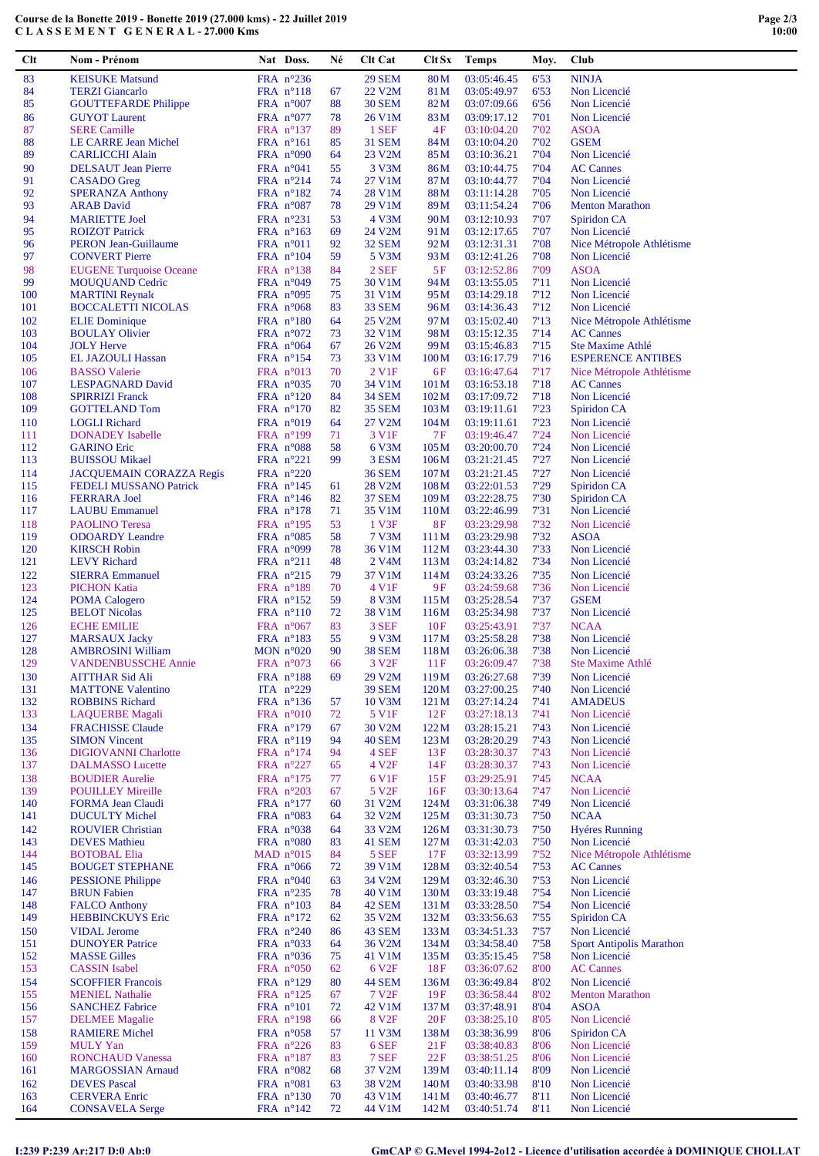| Clt        | Nom - Prénom                                              | Nat Doss.                                | Né       | <b>Clt Cat</b>              | Clt Sx                   | <b>Temps</b>               | Moy.         | Club                             |
|------------|-----------------------------------------------------------|------------------------------------------|----------|-----------------------------|--------------------------|----------------------------|--------------|----------------------------------|
| 83         | <b>KEISUKE Matsund</b>                                    | FRA n°236                                |          | <b>29 SEM</b>               | 80 <sub>M</sub>          | 03:05:46.45                | 6'53         | <b>NINJA</b>                     |
| 84         | <b>TERZI</b> Giancarlo                                    | $FRA$ n°118                              | 67       | 22 V2M                      | 81 M                     | 03:05:49.97                | 6'53         | Non Licencié                     |
| 85         | <b>GOUTTEFARDE Philippe</b>                               | FRA $n^{\circ}007$                       | 88       | <b>30 SEM</b>               | 82M                      | 03:07:09.66                | 6'56         | Non Licencié                     |
| 86         | <b>GUYOT</b> Laurent                                      | FRA $n^{\circ}077$                       | 78       | 26 V1M                      | 83M                      | 03:09:17.12                | 7'01         | Non Licencié                     |
| 87<br>88   | <b>SERE Camille</b><br>LE CARRE Jean Michel               | FRA $n^{\circ}137$<br>$FRA$ n°161        | 89<br>85 | 1 SEF<br><b>31 SEM</b>      | 4F<br>84M                | 03:10:04.20<br>03:10:04.20 | 7'02<br>7'02 | <b>ASOA</b><br><b>GSEM</b>       |
| 89         | <b>CARLICCHI Alain</b>                                    | FRA $n^{\circ}090$                       | 64       | 23 V2M                      | 85 M                     | 03:10:36.21                | 7'04         | Non Licencié                     |
| 90         | <b>DELSAUT</b> Jean Pierre                                | FRA $n^{\circ}041$                       | 55       | 3 V3M                       | 86M                      | 03:10:44.75                | 7'04         | <b>AC Cannes</b>                 |
| 91         | CASADO Greg                                               | FRA $n^{\circ}214$                       | 74       | 27 V1M                      | 87 M                     | 03:10:44.77                | 7'04         | Non Licencié                     |
| 92         | <b>SPERANZA Anthony</b>                                   | FRA $n^{\circ}182$                       | 74       | 28 V1M                      | 88M                      | 03:11:14.28                | 7'05         | Non Licencié                     |
| 93         | <b>ARAB</b> David                                         | FRA $n^{\circ}087$                       | 78       | 29 V1M                      | 89 M                     | 03:11:54.24                | 7'06         | <b>Menton Marathon</b>           |
| 94<br>95   | <b>MARIETTE Joel</b><br><b>ROIZOT</b> Patrick             | FRA $n^{\circ}231$<br>FRA $n^{\circ}163$ | 53<br>69 | 4 V3M<br>24 V2M             | 90 <sub>M</sub><br>91 M  | 03:12:10.93<br>03:12:17.65 | 7'07<br>7'07 | Spiridon CA<br>Non Licencié      |
| 96         | <b>PERON Jean-Guillaume</b>                               | $FRA$ n°011                              | 92       | <b>32 SEM</b>               | 92 <sub>M</sub>          | 03:12:31.31                | 7'08         | Nice Métropole Athlétisme        |
| 97         | <b>CONVERT Pierre</b>                                     | FRA $n^{\circ}104$                       | 59       | 5 V3M                       | 93 M                     | 03:12:41.26                | 7'08         | Non Licencié                     |
| 98         | <b>EUGENE Turquoise Oceane</b>                            | FRA $n^{\circ}138$                       | 84       | 2 SEF                       | 5F                       | 03:12:52.86                | 7'09         | <b>ASOA</b>                      |
| 99         | <b>MOUQUAND Cedric</b>                                    | FRA $n^{\circ}049$                       | 75       | 30 V1M                      | 94 M                     | 03:13:55.05                | 7'11         | Non Licencié                     |
| 100<br>101 | <b>MARTINI Reynald</b><br>BOCCALETTI NICOLAS              | FRA $n^{\circ}095$<br>FRA $n^{\circ}068$ | 75<br>83 | 31 V1M<br><b>33 SEM</b>     | 95 M<br>96 M             | 03:14:29.18<br>03:14:36.43 | 7'12<br>7'12 | Non Licencié<br>Non Licencié     |
| 102        | <b>ELIE</b> Dominique                                     | FRA $n^{\circ}180$                       | 64       | 25 V2M                      | 97 M                     | 03:15:02.40                | 7'13         | Nice Métropole Athlétisme        |
| 103        | <b>BOULAY Olivier</b>                                     | FRA $n^{\circ}072$                       | 73       | 32 V1M                      | 98 <sub>M</sub>          | 03:15:12.35                | 7'14         | <b>AC Cannes</b>                 |
| 104        | <b>JOLY Herve</b>                                         | FRA $n^{\circ}064$                       | 67       | 26 V2M                      | 99 M                     | 03:15:46.83                | 7'15         | Ste Maxime Athlé                 |
| 105        | EL JAZOULI Hassan                                         | FRA $n^{\circ}154$                       | 73       | 33 V1M                      | 100M                     | 03:16:17.79                | 7'16         | <b>ESPERENCE ANTIBES</b>         |
| 106        | <b>BASSO</b> Valerie                                      | FRA $n^{\circ}013$                       | 70       | 2 V1F                       | 6F                       | 03:16:47.64                | 7'17         | Nice Métropole Athlétisme        |
| 107<br>108 | LESPAGNARD David<br><b>SPIRRIZI Franck</b>                | FRA $n^{\circ}035$<br>FRA $n^{\circ}120$ | 70<br>84 | 34 V1M<br><b>34 SEM</b>     | 101 <sub>M</sub><br>102M | 03:16:53.18<br>03:17:09.72 | 7'18<br>7'18 | <b>AC Cannes</b><br>Non Licencié |
| 109        | <b>GOTTELAND Tom</b>                                      | FRA $n^{\circ}170$                       | 82       | <b>35 SEM</b>               | 103M                     | 03:19:11.61                | 7'23         | Spiridon CA                      |
| 110        | <b>LOGLI</b> Richard                                      | FRA $n^{\circ}019$                       | 64       | 27 V2M                      | 104M                     | 03:19:11.61                | 7'23         | Non Licencié                     |
| 111        | <b>DONADEY</b> Isabelle                                   | FRA n°199                                | 71       | 3 V1F                       | 7F                       | 03:19:46.47                | 7'24         | Non Licencié                     |
| 112        | <b>GARINO Eric</b>                                        | FRA $n^{\circ}088$                       | 58       | 6 V3M                       | 105M                     | 03:20:00.70                | 7'24         | Non Licencié                     |
| 113<br>114 | <b>BUISSOU Mikael</b>                                     | FRA n°221                                | 99       | 3 ESM                       | 106M                     | 03:21:21.45                | 7'27<br>7'27 | Non Licencié                     |
| 115        | <b>JACQUEMAIN CORAZZA Regis</b><br>FEDELI MUSSANO Patrick | FRA $n^{\circ}220$<br>FRA $n^{\circ}145$ | 61       | <b>36 SEM</b><br>28 V2M     | 107 <sub>M</sub><br>108M | 03:21:21.45<br>03:22:01.53 | 7'29         | Non Licencié<br>Spiridon CA      |
| 116        | <b>FERRARA Joel</b>                                       | FRA $n^{\circ}146$                       | 82       | <b>37 SEM</b>               | 109M                     | 03:22:28.75                | 7'30         | Spiridon CA                      |
| 117        | <b>LAUBU Emmanuel</b>                                     | FRA $n^{\circ}178$                       | 71       | 35 V1M                      | 110M                     | 03:22:46.99                | 7'31         | Non Licencié                     |
| 118        | <b>PAOLINO</b> Teresa                                     | FRA $n^{\circ}195$                       | 53       | 1 V3F                       | 8F                       | 03:23:29.98                | 7'32         | Non Licencié                     |
| 119        | <b>ODOARDY</b> Leandre                                    | FRA $n^{\circ}085$                       | 58       | 7 V3M                       | 111 M                    | 03:23:29.98                | 7'32         | <b>ASOA</b>                      |
| 120<br>121 | <b>KIRSCH Robin</b><br><b>LEVY Richard</b>                | FRA $n^{\circ}099$<br>FRA $n^{\circ}211$ | 78<br>48 | 36 V1M<br>2 V4M             | 112M<br>113M             | 03:23:44.30<br>03:24:14.82 | 7'33<br>7'34 | Non Licencié<br>Non Licencié     |
| 122        | <b>SIERRA Emmanuel</b>                                    | FRA $n^{\circ}215$                       | 79       | 37 V1M                      | 114M                     | 03:24:33.26                | 7'35         | Non Licencié                     |
| 123        | <b>PICHON Katia</b>                                       | $FRA$ n°189                              | 70       | 4 V1F                       | 9F                       | 03:24:59.68                | 7'36         | Non Licencié                     |
| 124        | <b>POMA</b> Calogero                                      | FRA $n^{\circ}152$                       | 59       | 8 V3M                       | 115M                     | 03:25:28.54                | 7'37         | <b>GSEM</b>                      |
| 125        | <b>BELOT Nicolas</b>                                      | $FRA$ $n^{\circ}110$                     | 72       | 38 V1M                      | 116M                     | 03:25:34.98                | 7'37         | Non Licencié                     |
| 126        | <b>ECHE EMILIE</b>                                        | FRA $n^{\circ}067$                       | 83       | 3 SEF                       | 10F                      | 03:25:43.91                | 7'37         | <b>NCAA</b>                      |
| 127<br>128 | <b>MARSAUX Jacky</b><br><b>AMBROSINI William</b>          | FRA $n^{\circ}183$<br>MON $n^{\circ}020$ | 55<br>90 | 9 V3M<br><b>38 SEM</b>      | 117M<br>118M             | 03:25:58.28<br>03:26:06.38 | 7'38<br>7'38 | Non Licencié<br>Non Licencié     |
| 129        | <b>VANDENBUSSCHE Annie</b>                                | FRA $n^{\circ}073$                       | 66       | 3 V <sub>2F</sub>           | 11F                      | 03:26:09.47                | 7'38         | Ste Maxime Athlé                 |
| 130        | <b>AITTHAR Sid Ali</b>                                    | FRA n°188                                | 69       | 29 V2M                      | 119 <sub>M</sub>         | 03:26:27.68                | 7'39         | Non Licencié                     |
| 131        | <b>MATTONE Valentino</b>                                  | ITA $n^{\circ}229$                       |          | <b>39 SEM</b>               | 120M                     | 03:27:00.25                | 7'40         | Non Licencié                     |
| 132        | <b>ROBBINS Richard</b>                                    | FRA $n^{\circ}136$                       | 57       | 10 V3M                      | 121 M                    | 03:27:14.24                | 7'41         | <b>AMADEUS</b>                   |
| 133<br>134 | <b>LAQUERBE</b> Magali<br><b>FRACHISSE Claude</b>         | FRA n°010                                | 72<br>67 | 5 V1F<br>30 V2M             | 12F                      | 03:27:18.13<br>03:28:15.21 | 7'41         | Non Licencié<br>Non Licencié     |
| 135        | <b>SIMON Vincent</b>                                      | FRA $n^{\circ}179$<br>FRA $n^{\circ}119$ | 94       | <b>40 SEM</b>               | 122M<br>123M             | 03:28:20.29                | 7'43<br>7'43 | Non Licencié                     |
| 136        | <b>DIGIOVANNI Charlotte</b>                               | FRA nº174                                | 94       | 4 SEF                       | 13F                      | 03:28:30.37                | 7'43         | Non Licencié                     |
| 137        | <b>DALMASSO Lucette</b>                                   | FRA $n^{\circ}227$                       | 65       | 4 V <sub>2F</sub>           | 14F                      | 03:28:30.37                | 7'43         | Non Licencié                     |
| 138        | <b>BOUDIER Aurelie</b>                                    | FRA $n^{\circ}175$                       | 77       | 6 V1F                       | 15F                      | 03:29:25.91                | 7'45         | <b>NCAA</b>                      |
| 139<br>140 | <b>POUILLEY Mireille</b><br><b>FORMA Jean Claudi</b>      | FRA $n^{\circ}203$<br>FRA $n^{\circ}177$ | 67<br>60 | 5 V <sub>2F</sub><br>31 V2M | 16F<br>124M              | 03:30:13.64<br>03:31:06.38 | 7'47<br>7'49 | Non Licencié<br>Non Licencié     |
| 141        | <b>DUCULTY Michel</b>                                     | FRA $n^{\circ}083$                       | 64       | 32 V2M                      | 125 M                    | 03:31:30.73                | 7'50         | <b>NCAA</b>                      |
| 142        | <b>ROUVIER Christian</b>                                  | FRA $n^{\circ}038$                       | 64       | 33 V2M                      | 126M                     | 03:31:30.73                | 7'50         | <b>Hyéres Running</b>            |
| 143        | <b>DEVES</b> Mathieu                                      | FRA $n^{\circ}080$                       | 83       | 41 SEM                      | 127 <sub>M</sub>         | 03:31:42.03                | 7'50         | Non Licencié                     |
| 144        | <b>BOTOBAL Elia</b>                                       | MAD $n^{\circ}015$                       | 84       | 5 SEF                       | 17F                      | 03:32:13.99                | 7'52         | Nice Métropole Athlétisme        |
| 145        | <b>BOUGET STEPHANE</b>                                    | FRA $n^{\circ}066$                       | 72       | 39 V1M                      | 128M                     | 03:32:40.54                | 7'53         | <b>AC Cannes</b>                 |
| 146<br>147 | <b>PESSIONE Philippe</b><br><b>BRUN Fabien</b>            | FRA $n^{\circ}040$<br>FRA $n^{\circ}235$ | 63<br>78 | 34 V2M<br>40 V1M            | 129M<br>130M             | 03:32:46.30<br>03:33:19.48 | 7'53<br>7'54 | Non Licencié<br>Non Licencié     |
| 148        | <b>FALCO</b> Anthony                                      | FRA $n^{\circ}103$                       | 84       | 42 SEM                      | 131 M                    | 03:33:28.50                | 7'54         | Non Licencié                     |
| 149        | <b>HEBBINCKUYS Eric</b>                                   | FRA $n^{\circ}172$                       | 62       | 35 V2M                      | 132M                     | 03:33:56.63                | 7'55         | Spiridon CA                      |
| 150        | <b>VIDAL</b> Jerome                                       | FRA $n^{\circ}240$                       | 86       | 43 SEM                      | 133M                     | 03:34:51.33                | 7'57         | Non Licencié                     |
| 151        | <b>DUNOYER Patrice</b>                                    | FRA $n^{\circ}033$                       | 64       | 36 V2M                      | 134M                     | 03:34:58.40                | 7'58         | <b>Sport Antipolis Marathon</b>  |
| 152<br>153 | <b>MASSE Gilles</b><br><b>CASSIN</b> Isabel               | FRA $n^{\circ}036$                       | 75<br>62 | 41 V1M<br>6 V <sub>2F</sub> | 135M<br>18F              | 03:35:15.45                | 7'58<br>8'00 | Non Licencié<br><b>AC Cannes</b> |
| 154        | <b>SCOFFIER Francois</b>                                  | FRA $n^{\circ}050$<br>FRA $n^{\circ}129$ | 80       | 44 SEM                      | 136M                     | 03:36:07.62<br>03:36:49.84 | 8'02         | Non Licencié                     |
| 155        | <b>MENIEL Nathalie</b>                                    | FRA $n^{\circ}125$                       | 67       | 7 V <sub>2F</sub>           | 19F                      | 03:36:58.44                | 8'02         | <b>Menton Marathon</b>           |
| 156        | <b>SANCHEZ Fabrice</b>                                    | FRA $n^{\circ}101$                       | 72       | 42 V1M                      | 137 M                    | 03:37:48.91                | 8'04         | <b>ASOA</b>                      |
| 157        | <b>DELMEE</b> Magalie                                     | FRA $n^{\circ}198$                       | 66       | 8 V <sub>2F</sub>           | 20F                      | 03:38:25.10                | 8'05         | Non Licencié                     |
| 158        | <b>RAMIERE Michel</b>                                     | FRA $n^{\circ}058$                       | 57       | 11 V3M                      | 138 <sub>M</sub>         | 03:38:36.99                | 8'06         | Spiridon CA                      |
| 159<br>160 | <b>MULY</b> Yan<br><b>RONCHAUD Vanessa</b>                | FRA $n^{\circ}226$<br>FRA $n^{\circ}187$ | 83<br>83 | 6 SEF<br>7 SEF              | 21F<br>22F               | 03:38:40.83<br>03:38:51.25 | 8'06<br>8'06 | Non Licencié<br>Non Licencié     |
| 161        | <b>MARGOSSIAN Arnaud</b>                                  | FRA $n^{\circ}082$                       | 68       | 37 V2M                      | 139M                     | 03:40:11.14                | 8'09         | Non Licencié                     |
| 162        | <b>DEVES</b> Pascal                                       | FRA $n^{\circ}081$                       | 63       | 38 V2M                      | 140M                     | 03:40:33.98                | 8'10         | Non Licencié                     |
| 163        | <b>CERVERA</b> Enric                                      | FRA $n^{\circ}130$                       | 70       | 43 V1M                      | 141M                     | 03:40:46.77                | 8'11         | Non Licencié                     |
| 164        | <b>CONSAVELA Serge</b>                                    | FRA $n^{\circ}142$                       | 72       | 44 V1M                      | 142M                     | 03:40:51.74                | 8'11         | Non Licencié                     |

**Course de la Bonette 2019 - Bonette 2019 (27.000 kms) - 22 Juillet 2019 C L A S S E M E N T G E N E R A L - 27.000 Kms**